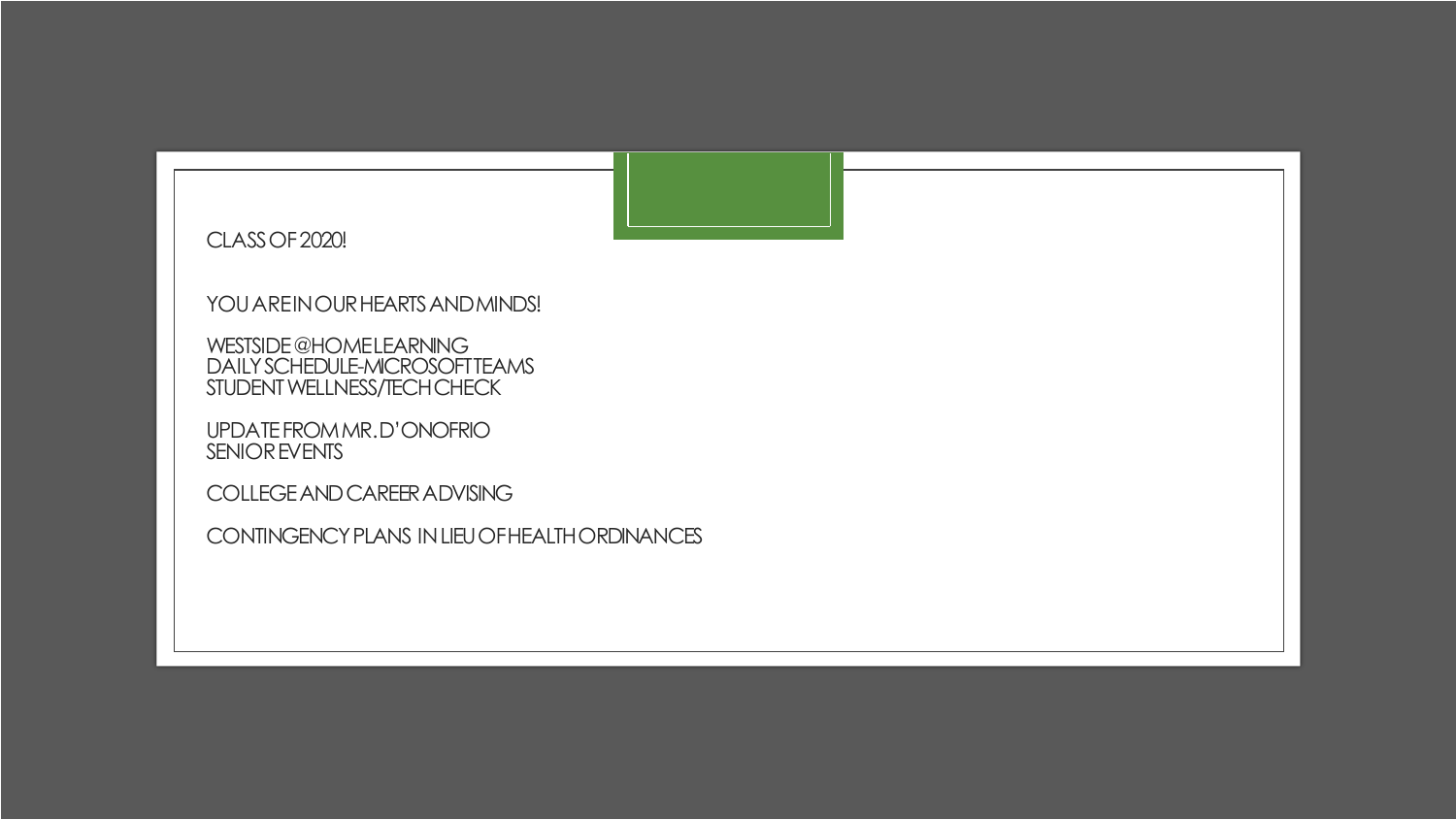

CLASS OF 2020!

YOU AREIN OUR HEARTS AND MINDS!

WESTSIDE @HOMELEARNING DAILY SCHEDULE-MICROSOFT TEAMS STUDENT WELLNESS/TECH CHECK

UPDATE FROM MR. D'ONOFRIO SENIOR EVENTS

COLLEGE AND CAREER ADVISING

CONTINGENCY PLANS IN LIEU OF HEALTH ORDINANCES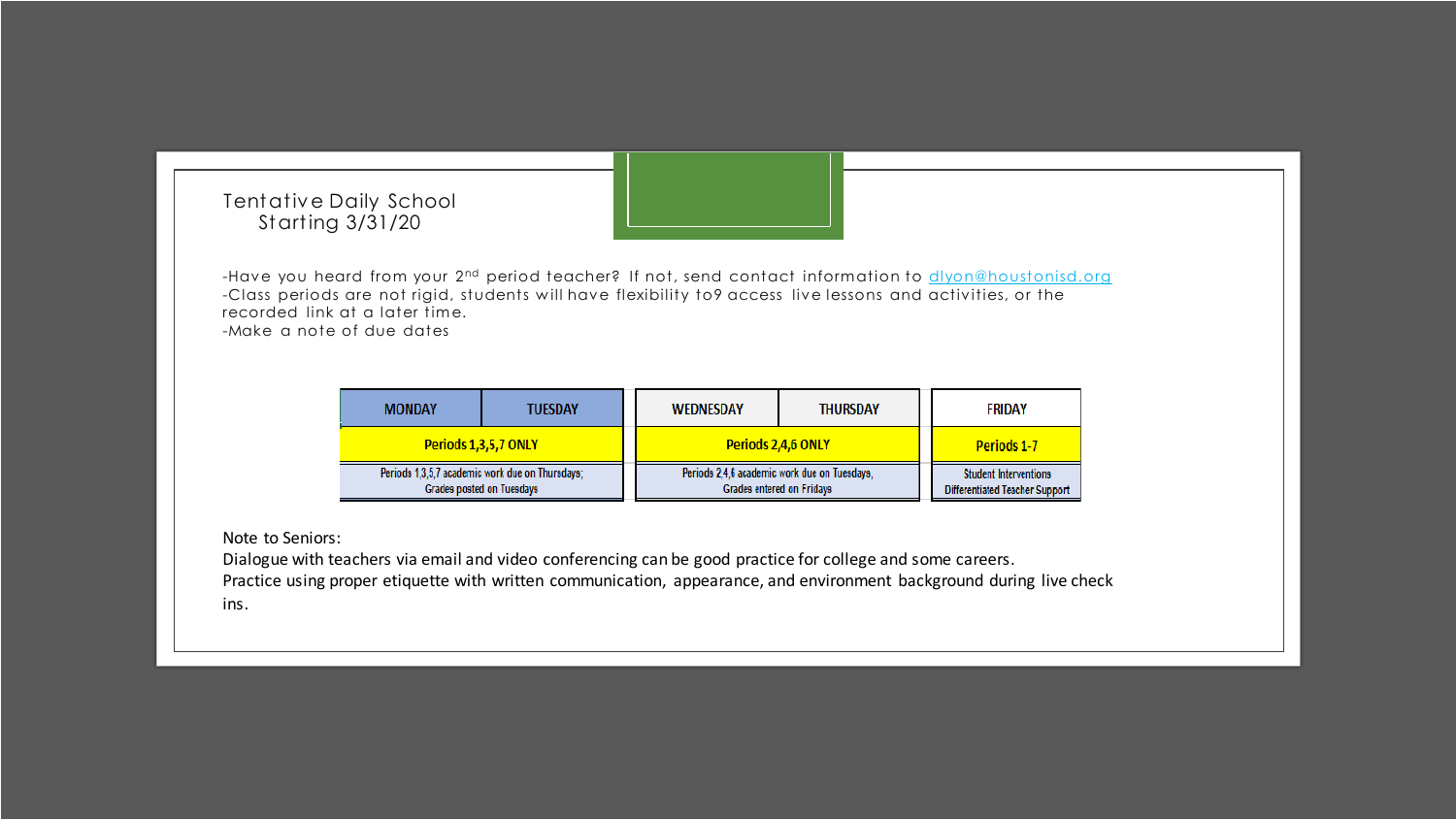## Tentative Daily School Starting 3/31/20

-Have you heard from your 2<sup>nd</sup> period teacher? If not, send contact information to *divon@houstonisd.org* -Class periods are not rigid, students w ill have flexibility to9 access live lessons and activities, or the recorded link at a later time. -Make a note of due dates

| <b>MONDAY</b>                                                                       | <b>TUESDAY</b> | <b>WEDNESDAY</b>                                                                 | <b>THURSDAY</b> | <b>FRIDAY</b>                                                         |
|-------------------------------------------------------------------------------------|----------------|----------------------------------------------------------------------------------|-----------------|-----------------------------------------------------------------------|
| Periods 1,3,5,7 ONLY                                                                |                | Periods 2,4,6 ONLY                                                               |                 | <b>Periods 1-7</b>                                                    |
| Periods 1,3,5,7 academic work due on Thursdays;<br><b>Grades posted on Tuesdays</b> |                | Periods 2.4.6 academic work due on Tuesdays.<br><b>Grades entered on Fridays</b> |                 | <b>Student Interventions</b><br><b>Differentiated Teacher Support</b> |

Note to Seniors:

Dialogue with teachers via email and video conferencing can be good practice for college and some careers. Practice using proper etiquette with written communication, appearance, and environment background during live check ins.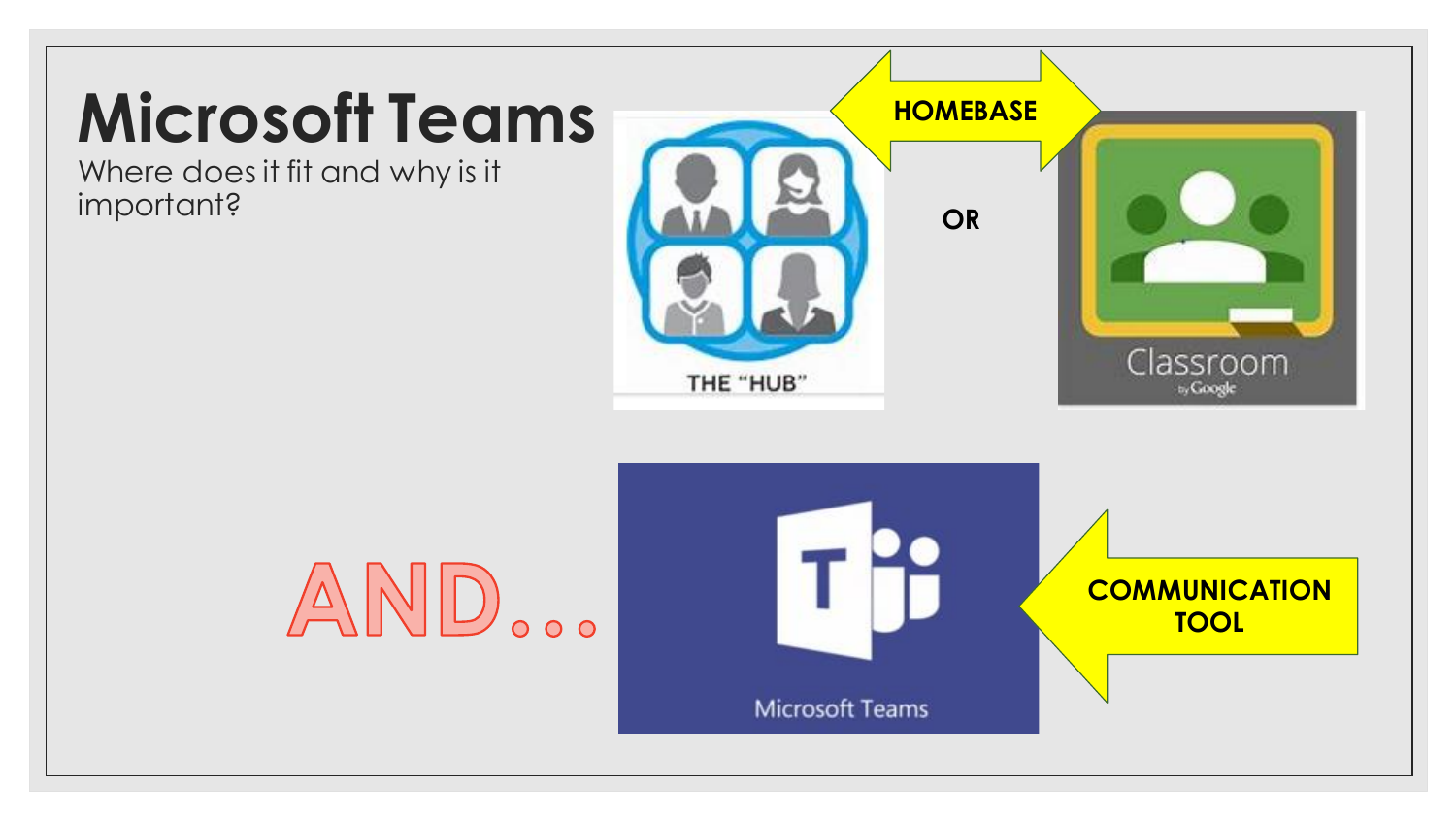## **Microsoft Teams**

Where does it fit and why is it



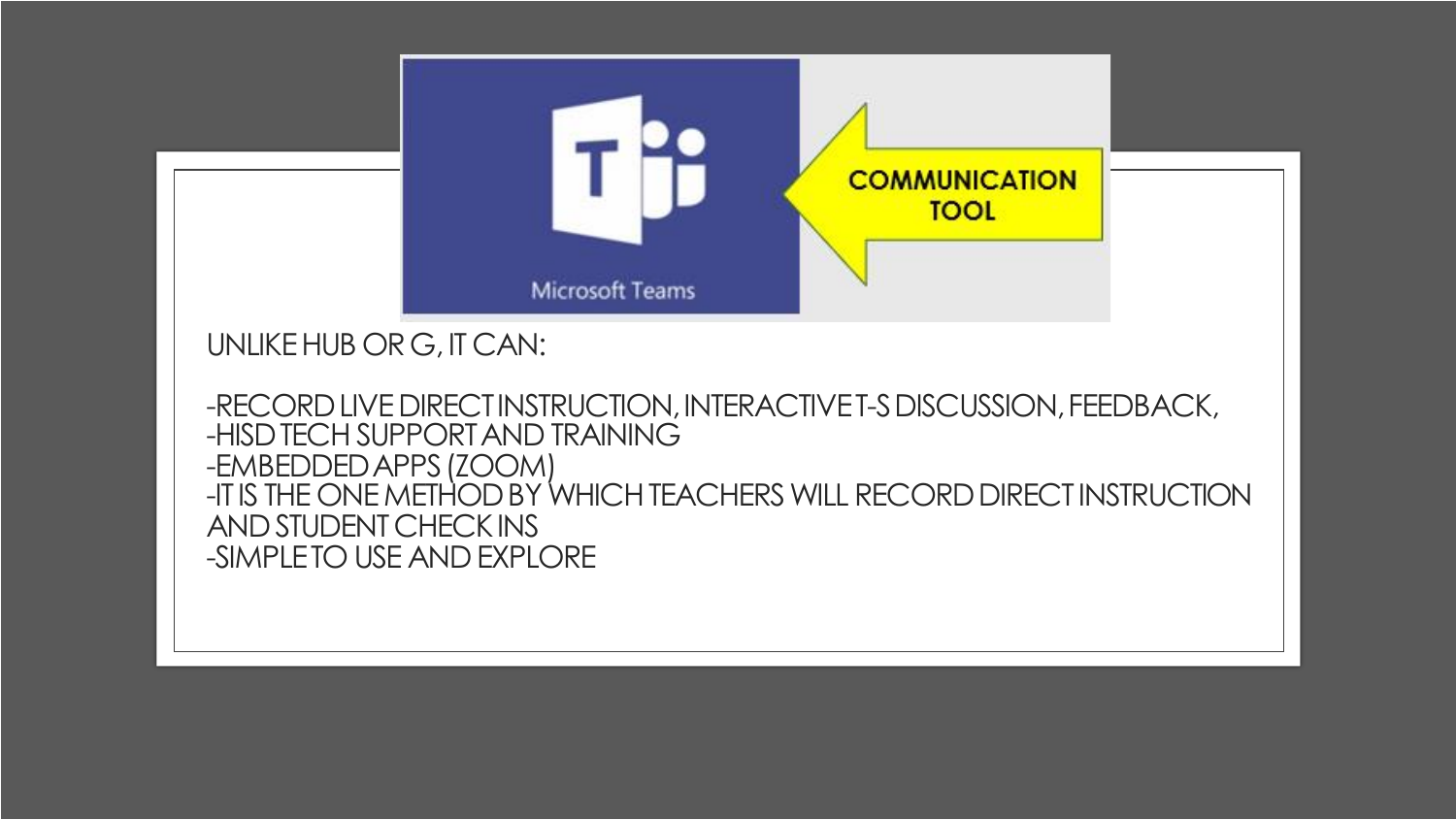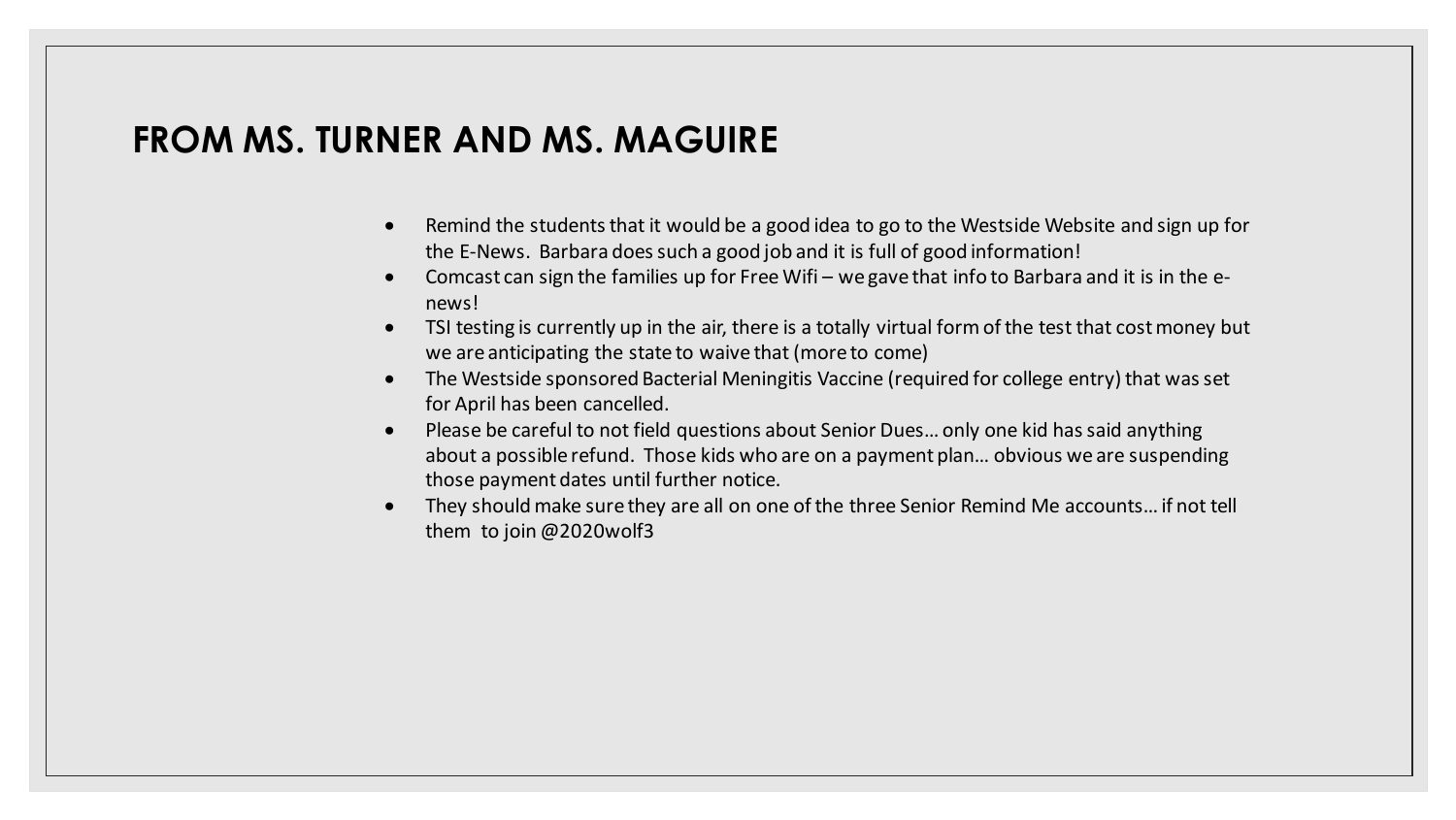## **FROM MS. TURNER AND MS. MAGUIRE**

- Remind the students that it would be a good idea to go to the Westside Website and sign up for the E-News. Barbara does such a good job and it is full of good information!
- Comcast can sign the families up for Free Wifi we gave that info to Barbara and it is in the enews!
- TSI testing is currently up in the air, there is a totally virtual form of the test that cost money but we are anticipating the state to waive that (more to come)
- The Westside sponsored Bacterial Meningitis Vaccine (required for college entry) that was set for April has been cancelled.
- Please be careful to not field questions about Senior Dues… only one kid has said anything about a possible refund. Those kids who are on a payment plan… obvious we are suspending those payment dates until further notice.
- They should make sure they are all on one of the three Senior Remind Me accounts… if not tell them to join @2020wolf3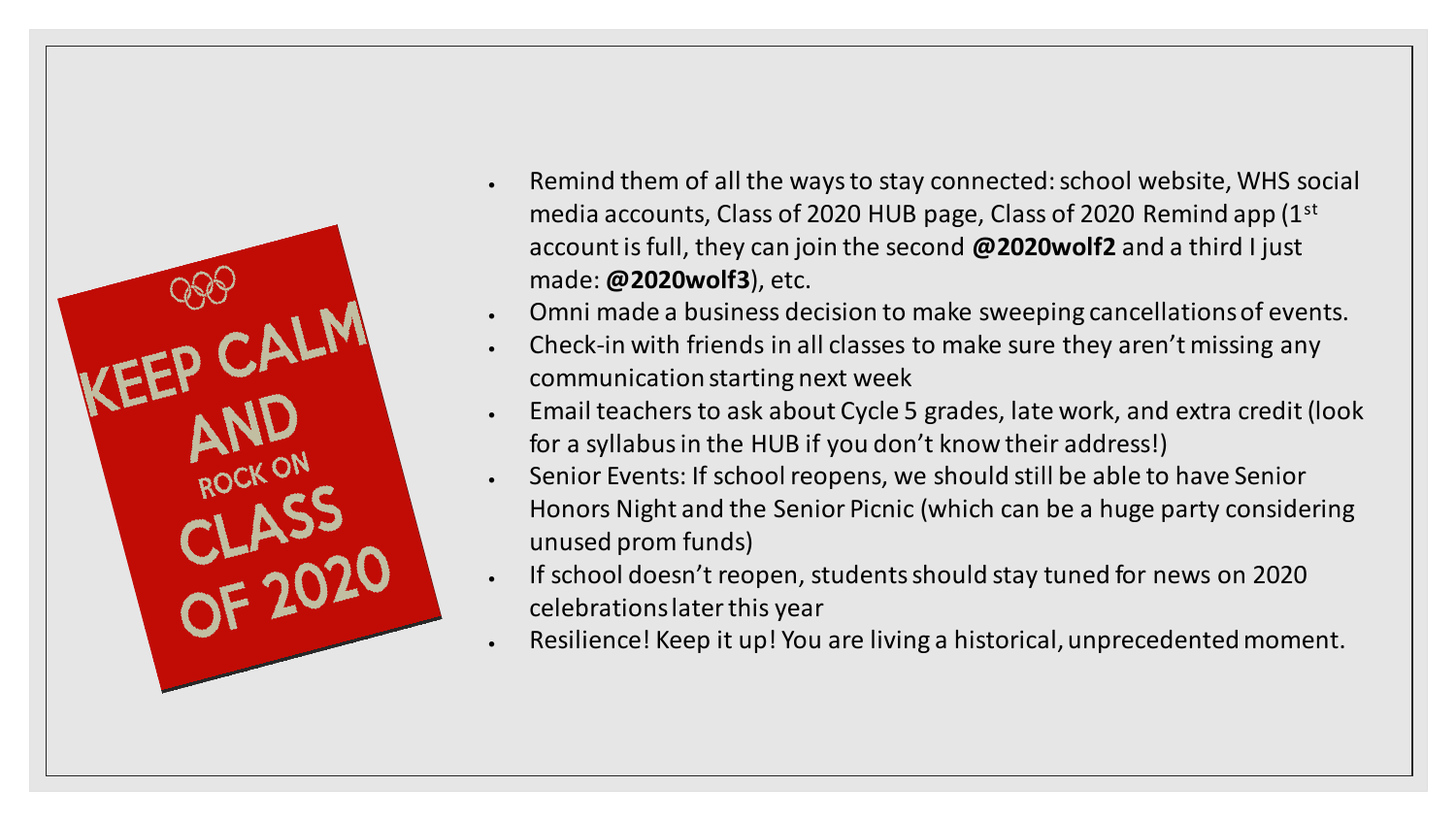

- Remind them of all the ways to stay connected: school website, WHS social media accounts, Class of 2020 HUB page, Class of 2020 Remind app (1st account is full, they can join the second **@2020wolf2** and a third I just made: **@2020wolf3**), etc.
- Omni made a business decision to make sweeping cancellations of events.
- Check-in with friends in all classes to make sure they aren't missing any communication starting next week
- Email teachers to ask about Cycle 5 grades, late work, and extra credit (look for a syllabus in the HUB if you don't know their address!)
- Senior Events: If school reopens, we should still be able to have Senior Honors Night and the Senior Picnic (which can be a huge party considering unused prom funds)
- If school doesn't reopen, students should stay tuned for news on 2020 celebrations later this year
- Resilience! Keep it up! You are living a historical, unprecedented moment.